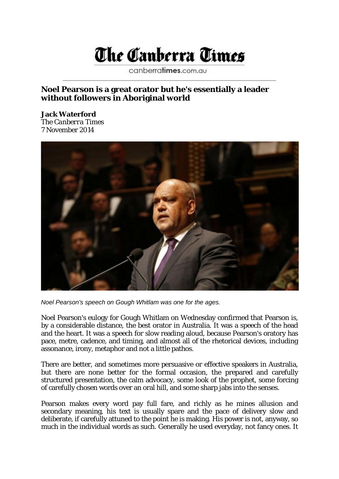## The Canberra Times

canberratimes.com.au

## **Noel Pearson is a great orator but he's essentially a leader without followers in Aboriginal world**

**Jack Waterford** The *Canberra Times* 7 November 2014



*Noel Pearson's speech on Gough Whitlam was one for the ages.*

Noel Pearson's eulogy for Gough Whitlam on Wednesday confirmed that Pearson is, by a considerable distance, the best orator in Australia. It was a speech of the head and the heart. It was a speech for slow reading aloud, because Pearson's oratory has pace, metre, cadence, and timing, and almost all of the rhetorical devices, including assonance, irony, metaphor and not a little pathos.

There are better, and sometimes more persuasive or effective speakers in Australia, but there are none better for the formal occasion, the prepared and carefully structured presentation, the calm advocacy, some look of the prophet, some forcing of carefully chosen words over an oral hill, and some sharp jabs into the senses.

Pearson makes every word pay full fare, and richly as he mines allusion and secondary meaning, his text is usually spare and the pace of delivery slow and deliberate, if carefully attuned to the point he is making. His power is not, anyway, so much in the individual words as such. Generally he used everyday, not fancy ones. It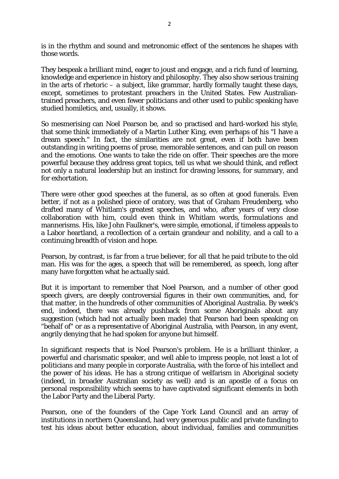is in the rhythm and sound and metronomic effect of the sentences he shapes with those words.

They bespeak a brilliant mind, eager to joust and engage, and a rich fund of learning, knowledge and experience in history and philosophy. They also show serious training in the arts of rhetoric – a subject, like grammar, hardly formally taught these days, except, sometimes to protestant preachers in the United States. Few Australiantrained preachers, and even fewer politicians and other used to public speaking have studied homiletics, and, usually, it shows.

So mesmerising can Noel Pearson be, and so practised and hard-worked his style, that some think immediately of a Martin Luther King, even perhaps of his "I have a dream speech." In fact, the similarities are not great, even if both have been outstanding in writing poems of prose, memorable sentences, and can pull on reason and the emotions. One wants to take the ride on offer. Their speeches are the more powerful because they address great topics, tell us what we should think, and reflect not only a natural leadership but an instinct for drawing lessons, for summary, and for exhortation.

There were other good speeches at the funeral, as so often at good funerals. Even better, if not as a polished piece of oratory, was that of Graham Freudenberg, who drafted many of Whitlam's greatest speeches, and who, after years of very close collaboration with him, could even think in Whitlam words, formulations and mannerisms. His, like John Faulkner's, were simple, emotional, if timeless appeals to a Labor heartland, a recollection of a certain grandeur and nobility, and a call to a continuing breadth of vision and hope.

Pearson, by contrast, is far from a true believer, for all that he paid tribute to the old man. His was for the ages, a speech that will be remembered, as speech, long after many have forgotten what he actually said.

But it is important to remember that Noel Pearson, and a number of other good speech givers, are deeply controversial figures in their own communities, and, for that matter, in the hundreds of other communities of Aboriginal Australia. By week's end, indeed, there was already pushback from some Aboriginals about any suggestion (which had not actually been made) that Pearson had been speaking on "behalf of" or as a representative of Aboriginal Australia, with Pearson, in any event, angrily denying that he had spoken for anyone but himself.

In significant respects that is Noel Pearson's problem. He is a brilliant thinker, a powerful and charismatic speaker, and well able to impress people, not least a lot of politicians and many people in corporate Australia, with the force of his intellect and the power of his ideas. He has a strong critique of welfarism in Aboriginal society (indeed, in broader Australian society as well) and is an apostle of a focus on personal responsibility which seems to have captivated significant elements in both the Labor Party and the Liberal Party.

Pearson, one of the founders of the Cape York Land Council and an array of institutions in northern Queensland, had very generous public and private funding to test his ideas about better education, about individual, families and communities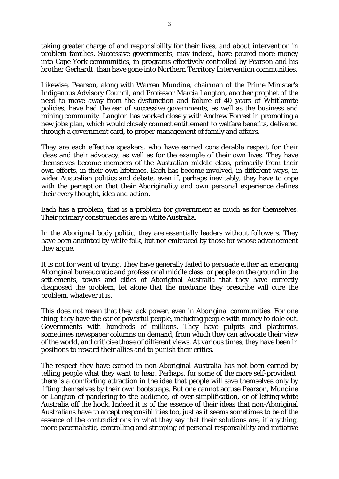taking greater charge of and responsibility for their lives, and about intervention in problem families. Successive governments, may indeed, have poured more money into Cape York communities, in programs effectively controlled by Pearson and his brother Gerhardt, than have gone into Northern Territory Intervention communities.

Likewise, Pearson, along with Warren Mundine, chairman of the Prime Minister's Indigenous Advisory Council, and Professor Marcia Langton, another prophet of the need to move away from the dysfunction and failure of 40 years of Whitlamite policies, have had the ear of successive governments, as well as the business and mining community. Langton has worked closely with Andrew Forrest in promoting a new jobs plan, which would closely connect entitlement to welfare benefits, delivered through a government card, to proper management of family and affairs.

They are each effective speakers, who have earned considerable respect for their ideas and their advocacy, as well as for the example of their own lives. They have themselves become members of the Australian middle class, primarily from their own efforts, in their own lifetimes. Each has become involved, in different ways, in wider Australian politics and debate, even if, perhaps inevitably, they have to cope with the perception that their Aboriginality and own personal experience defines their every thought, idea and action.

Each has a problem, that is a problem for government as much as for themselves. Their primary constituencies are in white Australia.

In the Aboriginal body politic, they are essentially leaders without followers. They have been anointed by white folk, but not embraced by those for whose advancement they argue.

It is not for want of trying. They have generally failed to persuade either an emerging Aboriginal bureaucratic and professional middle class, or people on the ground in the settlements, towns and cities of Aboriginal Australia that they have correctly diagnosed the problem, let alone that the medicine they prescribe will cure the problem, whatever it is.

This does not mean that they lack power, even in Aboriginal communities. For one thing, they have the ear of powerful people, including people with money to dole out. Governments with hundreds of millions. They have pulpits and platforms, sometimes newspaper columns on demand, from which they can advocate their view of the world, and criticise those of different views. At various times, they have been in positions to reward their allies and to punish their critics.

The respect they have earned in non-Aboriginal Australia has not been earned by telling people what they want to hear. Perhaps, for some of the more self-provident, there is a comforting attraction in the idea that people will save themselves only by lifting themselves by their own bootstraps. But one cannot accuse Pearson, Mundine or Langton of pandering to the audience, of over-simplification, or of letting white Australia off the hook. Indeed it is of the essence of their ideas that non-Aboriginal Australians have to accept responsibilities too, just as it seems sometimes to be of the essence of the contradictions in what they say that their solutions are, if anything, more paternalistic, controlling and stripping of personal responsibility and initiative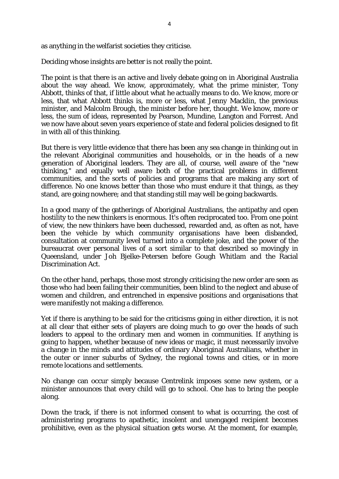as anything in the welfarist societies they criticise.

Deciding whose insights are better is not really the point.

The point is that there is an active and lively debate going on in Aboriginal Australia about the way ahead. We know, approximately, what the prime minister, Tony Abbott, thinks of that, if little about what he actually means to do. We know, more or less, that what Abbott thinks is, more or less, what Jenny Macklin, the previous minister, and Malcolm Brough, the minister before her, thought. We know, more or less, the sum of ideas, represented by Pearson, Mundine, Langton and Forrest. And we now have about seven years experience of state and federal policies designed to fit in with all of this thinking.

But there is very little evidence that there has been any sea change in thinking out in the relevant Aboriginal communities and households, or in the heads of a new generation of Aboriginal leaders. They are all, of course, well aware of the "new thinking," and equally well aware both of the practical problems in different communities, and the sorts of policies and programs that are making any sort of difference. No one knows better than those who must endure it that things, as they stand, are going nowhere; and that standing still may well be going backwards.

In a good many of the gatherings of Aboriginal Australians, the antipathy and open hostility to the new thinkers is enormous. It's often reciprocated too. From one point of view, the new thinkers have been duchessed, rewarded and, as often as not, have been the vehicle by which community organisations have been disbanded, consultation at community level turned into a complete joke, and the power of the bureaucrat over personal lives of a sort similar to that described so movingly in Queensland, under Joh Bjelke-Petersen before Gough Whitlam and the Racial Discrimination Act.

On the other hand, perhaps, those most strongly criticising the new order are seen as those who had been failing their communities, been blind to the neglect and abuse of women and children, and entrenched in expensive positions and organisations that were manifestly not making a difference.

Yet if there is anything to be said for the criticisms going in either direction, it is not at all clear that either sets of players are doing much to go over the heads of such leaders to appeal to the ordinary men and women in communities. If anything is going to happen, whether because of new ideas or magic, it must necessarily involve a change in the minds and attitudes of ordinary Aboriginal Australians, whether in the outer or inner suburbs of Sydney, the regional towns and cities, or in more remote locations and settlements.

No change can occur simply because Centrelink imposes some new system, or a minister announces that every child will go to school. One has to bring the people along.

Down the track, if there is not informed consent to what is occurring, the cost of administering programs to apathetic, insolent and unengaged recipient becomes prohibitive, even as the physical situation gets worse. At the moment, for example,